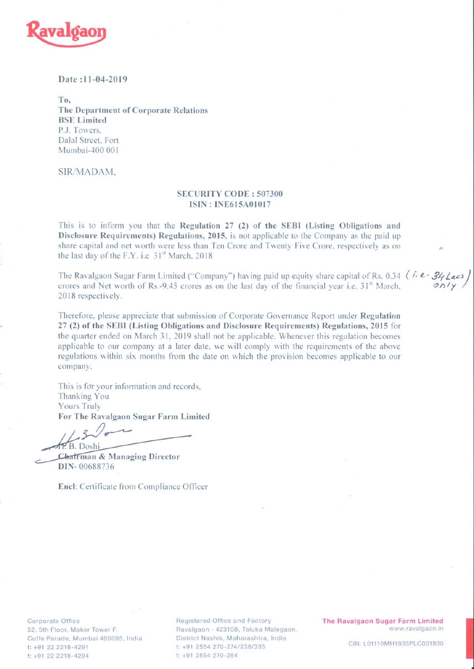

## Date: 11-04-2019

To. The Department of Corporate Relations **BSE** Limited P.J. Towers. Dalal Street, Fort Mumbai-400 001

SIR/MADAM.

## **SECURITY CODE: 507300 ISIN: INE615A01017**

This is to inform you that the Regulation 27 (2) of the SEBI (Listing Obligations and Disclosure Requirements) Regulations, 2015, is not applicable to the Company as the paid up share capital and net worth were less than Ten Crore and Twenty Five Crore, respectively as on the last day of the F.Y. i.e 31st March, 2018

The Ravalgaon Sugar Farm Limited ("Company") having paid up equity share capital of Rs. 0.34 ( $\vec{v} \cdot \vec{B}$ crores and Net worth of Rs.-9.45 crores as on the last day of the financial year i.e. 31<sup>st</sup> March, 2018 respectively.

Therefore, please appreciate that submission of Corporate Governance Report under Regulation 27 (2) of the SEBI (Listing Obligations and Disclosure Requirements) Regulations, 2015 for the quarter ended on March 31, 2019 shall not be applicable. Whenever this regulation becomes applicable to our company at a later date, we will comply with the requirements of the above regulations within six months from the date on which the provision becomes applicable to our company.

This is for your information and records. Thanking You Yours Truly For The Ravalgaon Sugar Farm Limited

B. Doshi

Chatrman & Managing Director DIN-00688736

Encl: Certificate from Compliance Officer

Corporate Office 52, 5th Floor, Maker Tower F, Cuffe Parade, Mumbai 400005, India t: +91 22 2218-4291 f: +91 22 2218-4294

**Registered Office and Factory** Ravalgaon - 423108, Taluka Malegaon, District Nashik, Maharashtra, India t: +91 2554 270-274/238/335 f: +91 2554 270-284

The Ravalgaon Sugar Farm Limited www.ravalgaon.in

CIN: L01110MH1933PLC001930